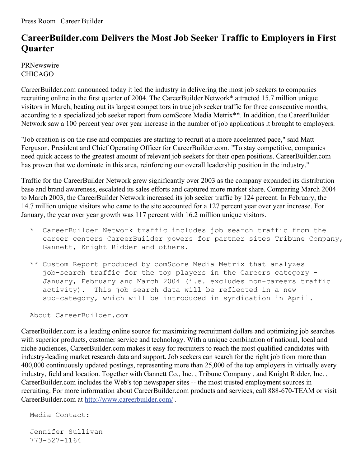Press Room | Career Builder

## **CareerBuilder.com Delivers the Most Job Seeker Traffic to Employers in First Quarter**

PRNewswire CHICAGO

CareerBuilder.com announced today it led the industry in delivering the most job seekers to companies recruiting online in the first quarter of 2004. The CareerBuilder Network\* attracted 15.7 million unique visitors in March, beating out its largest competitors in true job seeker traffic for three consecutive months, according to a specialized job seeker report from comScore Media Metrix\*\*. In addition, the CareerBuilder Network saw a 100 percent year over year increase in the number of job applications it brought to employers.

"Job creation is on the rise and companies are starting to recruit at a more accelerated pace," said Matt Ferguson, President and Chief Operating Officer for CareerBuilder.com. "To stay competitive, companies need quick access to the greatest amount of relevant job seekers for their open positions. CareerBuilder.com has proven that we dominate in this area, reinforcing our overall leadership position in the industry."

Traffic for the CareerBuilder Network grew significantly over 2003 as the company expanded its distribution base and brand awareness, escalated its sales efforts and captured more market share. Comparing March 2004 to March 2003, the CareerBuilder Network increased its job seeker traffic by 124 percent. In February, the 14.7 million unique visitors who came to the site accounted for a 127 percent year over year increase. For January, the year over year growth was 117 percent with 16.2 million unique visitors.

- \* CareerBuilder Network traffic includes job search traffic from the career centers CareerBuilder powers for partner sites Tribune Company, Gannett, Knight Ridder and others.
- \*\* Custom Report produced by comScore Media Metrix that analyzes job-search traffic for the top players in the Careers category - January, February and March 2004 (i.e. excludes non-careers traffic activity). This job search data will be reflected in a new sub-category, which will be introduced in syndication in April.

About CareerBuilder.com

CareerBuilder.com is a leading online source for maximizing recruitment dollars and optimizing job searches with superior products, customer service and technology. With a unique combination of national, local and niche audiences, CareerBuilder.com makes it easy for recruiters to reach the most qualified candidates with industry-leading market research data and support. Job seekers can search for the right job from more than 400,000 continuously updated postings, representing more than 25,000 of the top employers in virtually every industry, field and location. Together with Gannett Co., Inc. , Tribune Company , and Knight Ridder, Inc. , CareerBuilder.com includes the Web's top newspaper sites -- the most trusted employment sources in recruiting. For more information about CareerBuilder.com products and services, call 888-670-TEAM or visit CareerBuilder.com at <http://www.careerbuilder.com/> .

Media Contact:

Jennifer Sullivan 773-527-1164